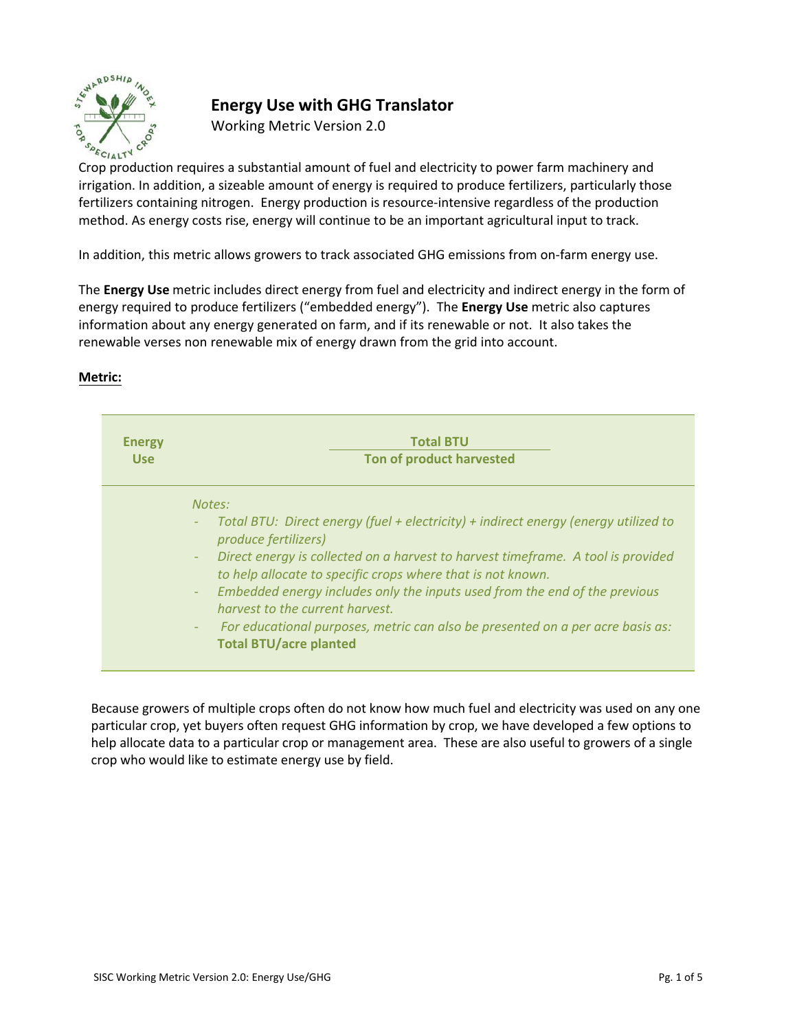

# **Energy Use with GHG Translator**

Working Metric Version 2.0

Crop production requires a substantial amount of fuel and electricity to power farm machinery and irrigation. In addition, a sizeable amount of energy is required to produce fertilizers, particularly those fertilizers containing nitrogen. Energy production is resource-intensive regardless of the production method. As energy costs rise, energy will continue to be an important agricultural input to track.

In addition, this metric allows growers to track associated GHG emissions from on-farm energy use.

The **Energy Use** metric includes direct energy from fuel and electricity and indirect energy in the form of energy required to produce fertilizers ("embedded energy"). The **Energy Use** metric also captures information about any energy generated on farm, and if its renewable or not. It also takes the renewable verses non renewable mix of energy drawn from the grid into account.

### **Metric:**

| <b>Energy</b> | <b>Total BTU</b>                                                                                                                                                                                                                                                                                                                                                                                                                                                                                                         |
|---------------|--------------------------------------------------------------------------------------------------------------------------------------------------------------------------------------------------------------------------------------------------------------------------------------------------------------------------------------------------------------------------------------------------------------------------------------------------------------------------------------------------------------------------|
| <b>Use</b>    | Ton of product harvested                                                                                                                                                                                                                                                                                                                                                                                                                                                                                                 |
|               | Notes:<br>Total BTU: Direct energy (fuel + electricity) + indirect energy (energy utilized to<br>produce fertilizers)<br>Direct energy is collected on a harvest to harvest timeframe. A tool is provided<br>Ξ.<br>to help allocate to specific crops where that is not known.<br>Embedded energy includes only the inputs used from the end of the previous<br>٠.<br>harvest to the current harvest.<br>For educational purposes, metric can also be presented on a per acre basis as:<br><b>Total BTU/acre planted</b> |

Because growers of multiple crops often do not know how much fuel and electricity was used on any one particular crop, yet buyers often request GHG information by crop, we have developed a few options to help allocate data to a particular crop or management area. These are also useful to growers of a single crop who would like to estimate energy use by field.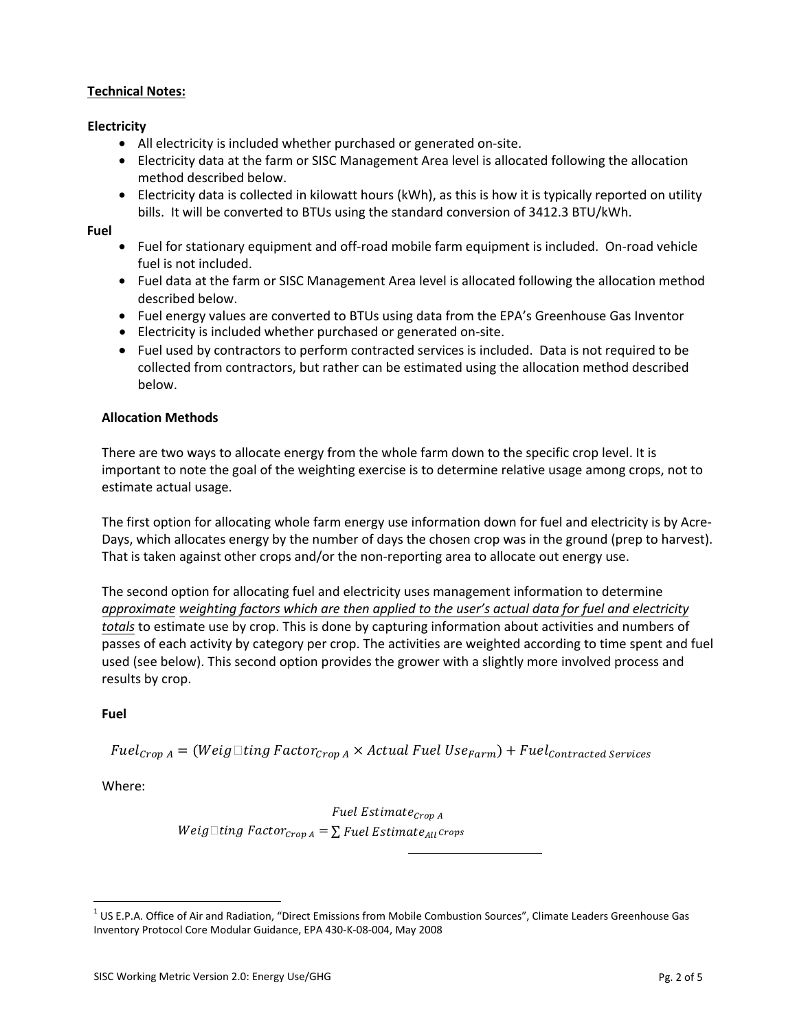# **Technical Notes:**

## **Electricity**

- All electricity is included whether purchased or generated on-site.
- Electricity data at the farm or SISC Management Area level is allocated following the allocation method described below.
- Electricity data is collected in kilowatt hours (kWh), as this is how it is typically reported on utility bills. It will be converted to BTUs using the standard conversion of 3412.3 BTU/kWh.

## **Fuel**

- Fuel for stationary equipment and off-road mobile farm equipment is included. On-road vehicle fuel is not included.
- Fuel data at the farm or SISC Management Area level is allocated following the allocation method described below.
- Fuel energy values are converted to BTUs using data from the EPA's Greenhouse Gas Inventor
- Electricity is included whether purchased or generated on-site.
- Fuel used by contractors to perform contracted services is included. Data is not required to be collected from contractors, but rather can be estimated using the allocation method described below.

# **Allocation Methods**

There are two ways to allocate energy from the whole farm down to the specific crop level. It is important to note the goal of the weighting exercise is to determine relative usage among crops, not to estimate actual usage.

The first option for allocating whole farm energy use information down for fuel and electricity is by Acre-Days, which allocates energy by the number of days the chosen crop was in the ground (prep to harvest). That is taken against other crops and/or the non-reporting area to allocate out energy use.

The second option for allocating fuel and electricity uses management information to determine *approximate weighting factors which are then applied to the user's actual data for fuel and electricity totals* to estimate use by crop. This is done by capturing information about activities and numbers of passes of each activity by category per crop. The activities are weighted according to time spent and fuel used (see below). This second option provides the grower with a slightly more involved process and results by crop.

# **Fuel**

 ${Fuel_{Crop}}_A = (Weight \cup \{ \text{Lting Factor}_{Crop} \mid X \text{ Actual Fuel Use}_{Farm}) + Fuel_{contracted \text{ Services}}$ 

Where:

Weig $\Box$ ting Factor $_{\mathit{Crop \,} A} = \sum\limits Fuel \, Estimate_{All} \, \mathit{Crops}$ Fuel Estimate<sub>Cron</sub>  $\alpha$ 

 $1$  US E.P.A. Office of Air and Radiation, "Direct Emissions from Mobile Combustion Sources", Climate Leaders Greenhouse Gas Inventory Protocol Core Modular Guidance, EPA 430-K-08-004, May 2008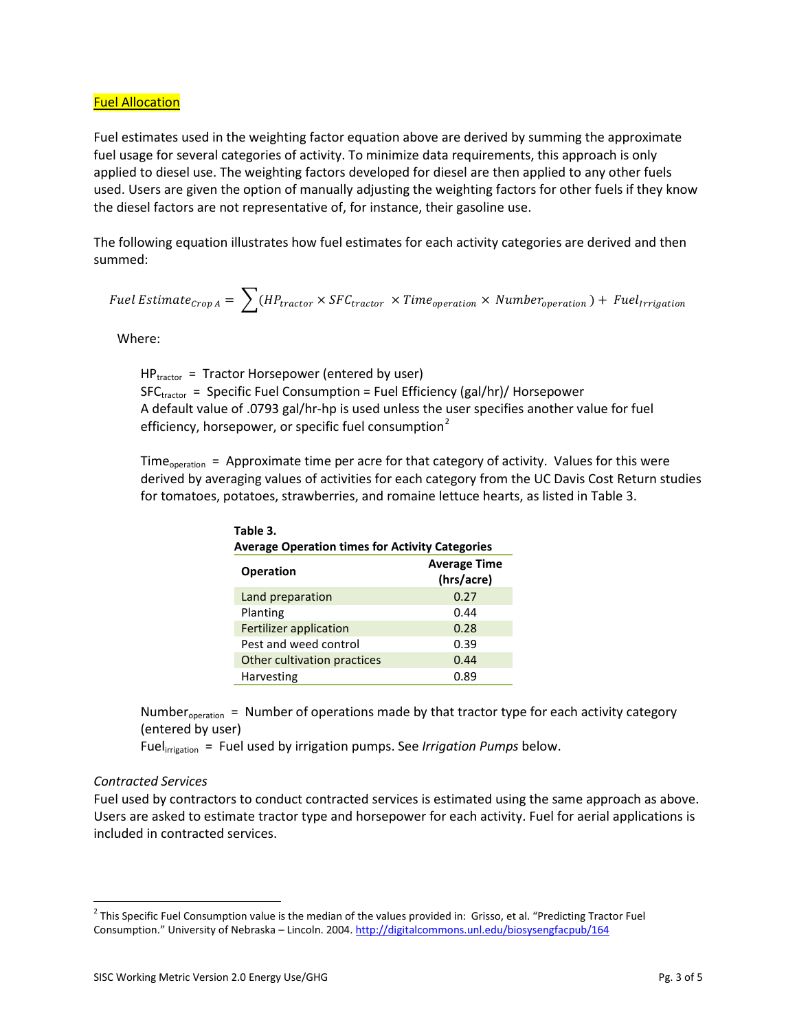#### Fuel Allocation

Fuel estimates used in the weighting factor equation above are derived by summing the approximate fuel usage for several categories of activity. To minimize data requirements, this approach is only applied to diesel use. The weighting factors developed for diesel are then applied to any other fuels used. Users are given the option of manually adjusting the weighting factors for other fuels if they know the diesel factors are not representative of, for instance, their gasoline use.

The following equation illustrates how fuel estimates for each activity categories are derived and then summed:

$$
Full Estimate_{\text{Crop A}} = \sum (HP_{\text{tractor}} \times SFC_{\text{tractor}} \times Time_{\text{operation}} \times Number_{\text{operation}}) + Fuel_{\text{irrigation}}
$$

Where:

 $HP_{\text{tractor}}$  = Tractor Horsepower (entered by user)  $SFC<sub>tractor</sub>$  = Specific Fuel Consumption = Fuel Efficiency (gal/hr)/ Horsepower A default value of .0793 gal/hr-hp is used unless the user specifies another value for fuel efficiency, horsepower, or specific fuel consumption<sup>[2](#page-2-0)</sup>

Time<sub>operation</sub> = Approximate time per acre for that category of activity. Values for this were derived by averaging values of activities for each category from the UC Davis Cost Return studies for tomatoes, potatoes, strawberries, and romaine lettuce hearts, as listed in Table 3.

| <b>Average Operation times for Activity Categories</b> |                                   |  |
|--------------------------------------------------------|-----------------------------------|--|
| <b>Operation</b>                                       | <b>Average Time</b><br>(hrs/acre) |  |
| Land preparation                                       | 0.27                              |  |
| Planting                                               | 0.44                              |  |
| Fertilizer application                                 | 0.28                              |  |
| Pest and weed control                                  | 0.39                              |  |
| Other cultivation practices                            | 0.44                              |  |
| <b>Harvesting</b>                                      | 0.89                              |  |

**Table 3.**

Number<sub>operation</sub> = Number of operations made by that tractor type for each activity category (entered by user)

Fuelirrigation = Fuel used by irrigation pumps. See *Irrigation Pumps* below.

#### *Contracted Services*

Fuel used by contractors to conduct contracted services is estimated using the same approach as above. Users are asked to estimate tractor type and horsepower for each activity. Fuel for aerial applications is included in contracted services.

<span id="page-2-0"></span> $2$  This Specific Fuel Consumption value is the median of the values provided in: Grisso, et al. "Predicting Tractor Fuel Consumption." University of Nebraska – Lincoln. 2004[. http://digitalcommons.unl.edu/biosysengfacpub/164](http://digitalcommons.unl.edu/biosysengfacpub/164)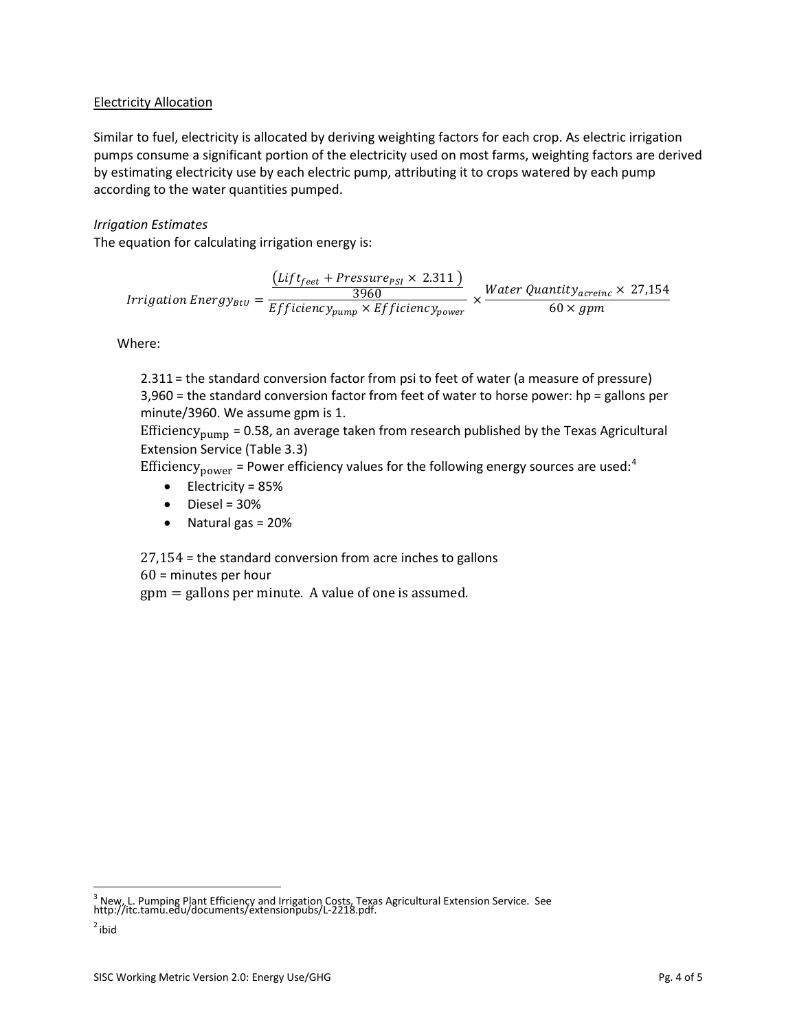### Electricity Allocation

Similar to fuel, electricity is allocated by deriving weighting factors for each crop. As electric irrigation pumps consume a significant portion of the electricity used on most farms, weighting factors are derived by estimating electricity use by each electric pump, attributing it to crops watered by each pump according to the water quantities pumped.

### *Irrigation Estimates*

The equation for calculating irrigation energy is:

$$
Irrigation Energy_{BtU} = \frac{\left(Lift_{feet} + Pressure_{PSI} \times 2.311\right)}{Efficiency_{pump} \times Efficiency_{power}} \times \frac{Water\ Quantity_{acreinc} \times 27,154}{60 \times gpm}
$$

Where:

2.311 = the standard conversion factor from psi to feet of water (a measure of pressure) 3,960 = the standard conversion factor from feet of water to horse power: hp = gallons per minute/3960. We assume gpm is 1.

Efficiency<sub>pump</sub> = 0.58, an average taken from research published by the Texas Agricultural Extension Service (Table 3.[3](#page-3-0)  $\sum_{i=1}^{n}$ 

Efficiency<sub>power</sub> = Power efficiency values for the following energy sources are used:

- Electricity = 85%
- $\bullet$  Diesel = 30%
- Natural gas = 20%

27,154 = the standard conversion from acre inches to gallons

60 = minutes per hour

 $gpm = gallons$  per minute. A value of one is assumed.

<span id="page-3-0"></span><sup>&</sup>lt;sup>3</sup> New, L. Pumping Plant Efficiency and Irrigation Costs, Texas Agricultural Extension Service. See<br>http://itc.tamu.edu/documents/extensionpubs/L-2218.pdf.

<span id="page-3-1"></span> $<sup>2</sup>$ ihid</sup>